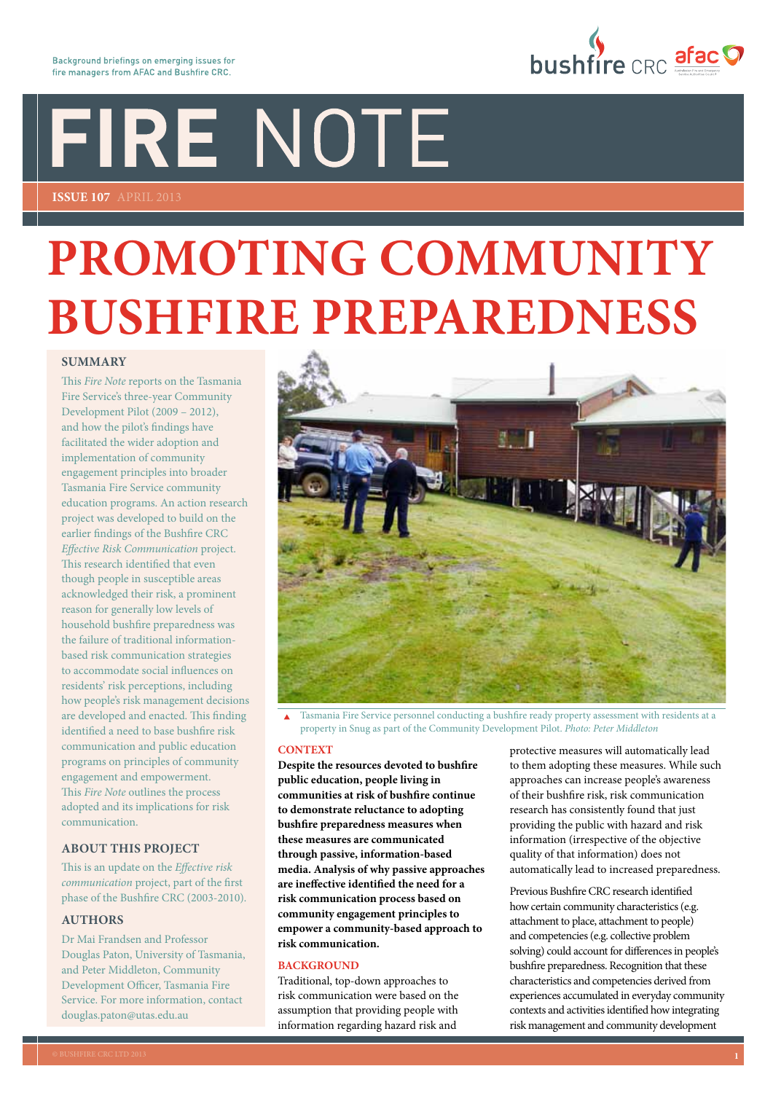# FIRE NOTE

**Issue 107** APRIL 2013

# **Promoting community bushfire preparedness**

#### **SUMMARY**

This *Fire Note* reports on the Tasmania Fire Service's three-year Community Development Pilot (2009 – 2012), and how the pilot's findings have facilitated the wider adoption and implementation of community engagement principles into broader Tasmania Fire Service community education programs. An action research project was developed to build on the earlier findings of the Bushfire CRC *Effective Risk Communication* project. This research identified that even though people in susceptible areas acknowledged their risk, a prominent reason for generally low levels of household bushfire preparedness was the failure of traditional informationbased risk communication strategies to accommodate social influences on residents' risk perceptions, including how people's risk management decisions are developed and enacted. This finding identified a need to base bushfire risk communication and public education programs on principles of community engagement and empowerment. This *Fire Note* outlines the process adopted and its implications for risk communication.

#### **ABOUT THIS PROJECT**

This is an update on the *Effective risk communication* project, part of the first phase of the Bushfire CRC (2003-2010)*.*

#### **AUTHORS**

Dr Mai Frandsen and Professor Douglas Paton, University of Tasmania, and Peter Middleton, Community Development Officer, Tasmania Fire Service. For more information, contact [douglas.paton@utas.edu.au](mailto:douglas.paton@utas.edu.au)



 Tasmania Fire Service personnel conducting a bushfire ready property assessment with residents at a property in Snug as part of the Community Development Pilot. *Photo: Peter Middleton*

#### **CONTEXT**

**Despite the resources devoted to bushfire public education, people living in communities at risk of bushfire continue to demonstrate reluctance to adopting bushfire preparedness measures when these measures are communicated through passive, information-based media. Analysis of why passive approaches are ineffective identified the need for a risk communication process based on community engagement principles to empower a community-based approach to risk communication.**

#### **BACKGROUND**

Traditional, top-down approaches to risk communication were based on the assumption that providing people with information regarding hazard risk and

protective measures will automatically lead to them adopting these measures. While such approaches can increase people's awareness of their bushfire risk, risk communication research has consistently found that just providing the public with hazard and risk information (irrespective of the objective quality of that information) does not automatically lead to increased preparedness.

Previous Bushfire CRC research identified how certain community characteristics (e.g. attachment to place, attachment to people) and competencies (e.g. collective problem solving) could account for differences in people's bushfire preparedness. Recognition that these characteristics and competencies derived from experiences accumulated in everyday community contexts and activities identified how integrating risk management and community development

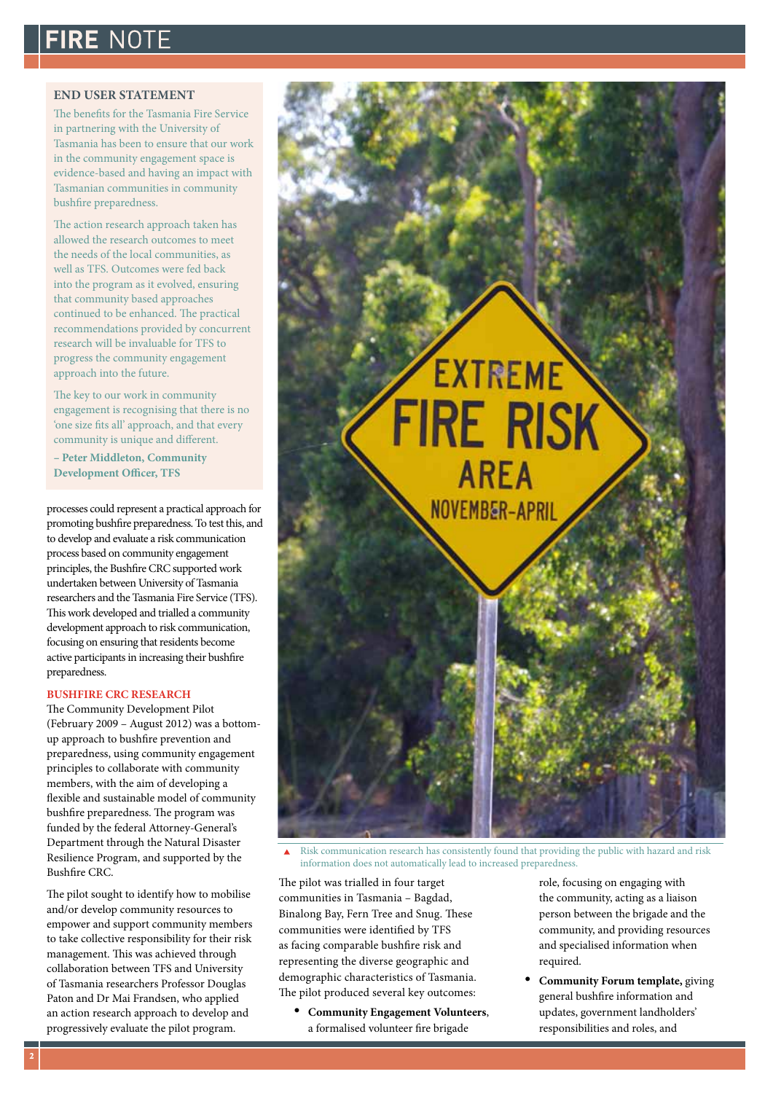## **FIRE NOTE**

#### **END USER STATEMENT**

The benefits for the Tasmania Fire Service in partnering with the University of Tasmania has been to ensure that our work in the community engagement space is evidence-based and having an impact with Tasmanian communities in community bushfire preparedness.

The action research approach taken has allowed the research outcomes to meet the needs of the local communities, as well as TFS. Outcomes were fed back into the program as it evolved, ensuring that community based approaches continued to be enhanced. The practical recommendations provided by concurrent research will be invaluable for TFS to progress the community engagement approach into the future.

The key to our work in community engagement is recognising that there is no 'one size fits all' approach, and that every community is unique and different.

**– Peter Middleton, Community Development Officer, TFS**

processes could represent a practical approach for promoting bushfire preparedness. To test this, and to develop and evaluate a risk communication process based on community engagement principles, the Bushfire CRC supported work undertaken between University of Tasmania researchers and the Tasmania Fire Service (TFS). This work developed and trialled a community development approach to risk communication, focusing on ensuring that residents become active participants in increasing their bushfire preparedness.

#### **BUSHFIRE CRC RESEARCH**

The Community Development Pilot (February 2009 – August 2012) was a bottomup approach to bushfire prevention and preparedness, using community engagement principles to collaborate with community members, with the aim of developing a flexible and sustainable model of community bushfire preparedness. The program was funded by the federal Attorney-General's Department through the Natural Disaster Resilience Program, and supported by the Bushfire CRC.

The pilot sought to identify how to mobilise and/or develop community resources to empower and support community members to take collective responsibility for their risk management. This was achieved through collaboration between TFS and University of Tasmania researchers Professor Douglas Paton and Dr Mai Frandsen, who applied an action research approach to develop and progressively evaluate the pilot program.



 Risk communication research has consistently found that providing the public with hazard and risk information does not automatically lead to increased preparedness.

The pilot was trialled in four target communities in Tasmania – Bagdad, Binalong Bay, Fern Tree and Snug. These communities were identified by TFS as facing comparable bushfire risk and representing the diverse geographic and demographic characteristics of Tasmania. The pilot produced several key outcomes:

• **Community Engagement Volunteers**, a formalised volunteer fire brigade

role, focusing on engaging with the community, acting as a liaison person between the brigade and the community, and providing resources and specialised information when required.

**Community Forum template, giving** general bushfire information and updates, government landholders' responsibilities and roles, and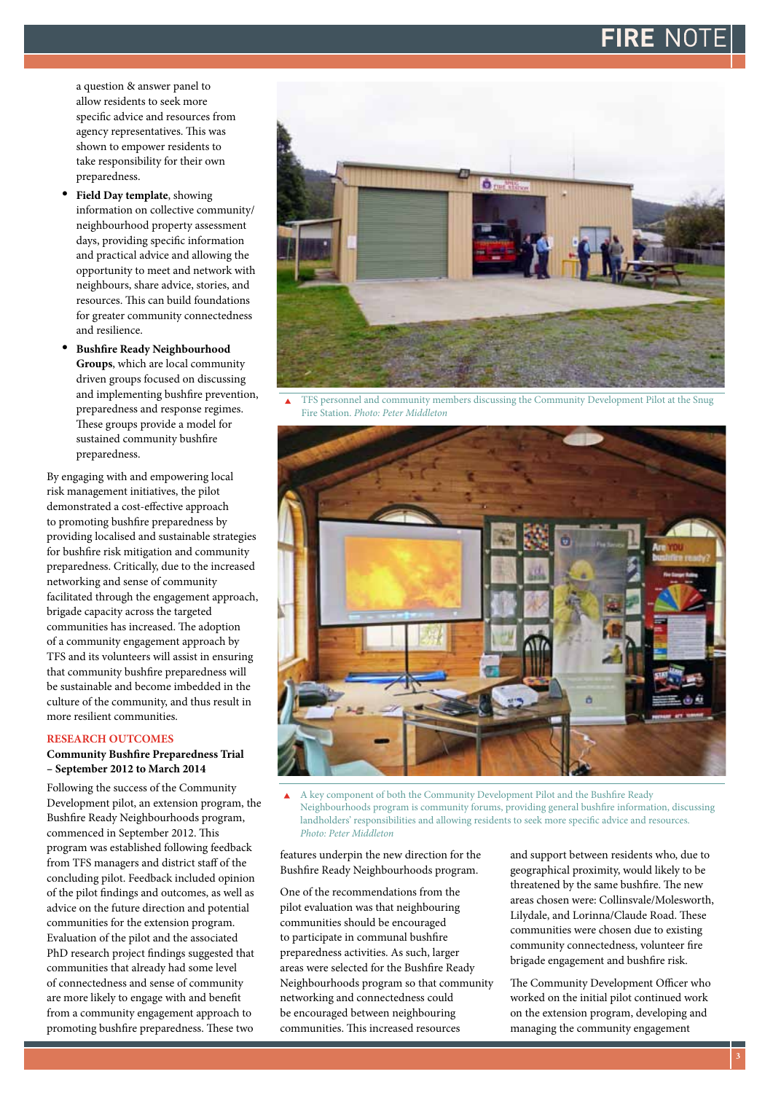## FIRE NOT

a question & answer panel to allow residents to seek more specific advice and resources from agency representatives. This was shown to empower residents to take responsibility for their own preparedness.

- Field Day template, showing information on collective community/ neighbourhood property assessment days, providing specific information and practical advice and allowing the opportunity to meet and network with neighbours, share advice, stories, and resources. This can build foundations for greater community connectedness and resilience.
- **Bushfire Ready Neighbourhood Groups**, which are local community driven groups focused on discussing and implementing bushfire prevention, preparedness and response regimes. These groups provide a model for sustained community bushfire preparedness.

By engaging with and empowering local risk management initiatives, the pilot demonstrated a cost-effective approach to promoting bushfire preparedness by providing localised and sustainable strategies for bushfire risk mitigation and community preparedness. Critically, due to the increased networking and sense of community facilitated through the engagement approach, brigade capacity across the targeted communities has increased. The adoption of a community engagement approach by TFS and its volunteers will assist in ensuring that community bushfire preparedness will be sustainable and become imbedded in the culture of the community, and thus result in more resilient communities.

#### **RESEARCH OUTCOMES**

#### **Community Bushfire Preparedness Trial – September 2012 to March 2014**

Following the success of the Community Development pilot, an extension program, the Bushfire Ready Neighbourhoods program, commenced in September 2012. This program was established following feedback from TFS managers and district staff of the concluding pilot. Feedback included opinion of the pilot findings and outcomes, as well as advice on the future direction and potential communities for the extension program. Evaluation of the pilot and the associated PhD research project findings suggested that communities that already had some level of connectedness and sense of community are more likely to engage with and benefit from a community engagement approach to promoting bushfire preparedness. These two



 TFS personnel and community members discussing the Community Development Pilot at the Snug Fire Station. *Photo: Peter Middleton*



 A key component of both the Community Development Pilot and the Bushfire Ready Neighbourhoods program is community forums, providing general bushfire information, discussing landholders' responsibilities and allowing residents to seek more specific advice and resources. *Photo: Peter Middleton*

features underpin the new direction for the Bushfire Ready Neighbourhoods program.

One of the recommendations from the pilot evaluation was that neighbouring communities should be encouraged to participate in communal bushfire preparedness activities. As such, larger areas were selected for the Bushfire Ready Neighbourhoods program so that community networking and connectedness could be encouraged between neighbouring communities. This increased resources

and support between residents who, due to geographical proximity, would likely to be threatened by the same bushfire. The new areas chosen were: Collinsvale/Molesworth, Lilydale, and Lorinna/Claude Road. These communities were chosen due to existing community connectedness, volunteer fire brigade engagement and bushfire risk.

The Community Development Officer who worked on the initial pilot continued work on the extension program, developing and managing the community engagement